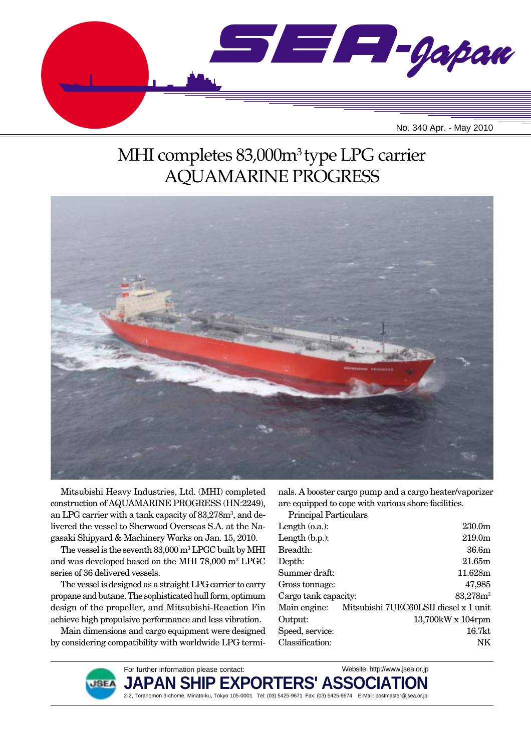

# MHI completes 83,000m3 type LPG carrier AQUAMARINE PROGRESS



Mitsubishi Heavy Industries, Ltd. (MHI) completed construction of AQUAMARINE PROGRESS (HN:2249), an LPG carrier with a tank capacity of 83,278m<sup>3</sup>, and delivered the vessel to Sherwood Overseas S.A. at the Nagasaki Shipyard & Machinery Works on Jan. 15, 2010.

The vessel is the seventh  $83{,}000\,\mathrm{m}^3\,\mathrm{LPGC}$  built by MHI and was developed based on the MHI 78,000 m3 LPGC series of 36 delivered vessels.

The vessel is designed as a straight LPG carrier to carry propane and butane. The sophisticated hull form, optimum design of the propeller, and Mitsubishi-Reaction Fin achieve high propulsive performance and less vibration.

Main dimensions and cargo equipment were designed by considering compatibility with worldwide LPG terminals. A booster cargo pump and a cargo heater/vaporizer are equipped to cope with various shore facilities.

Principal Particulars

| Length $(0.a.)$ :    |                                                    | 230.0 <sub>m</sub>      |
|----------------------|----------------------------------------------------|-------------------------|
| Length $(b.p.):$     |                                                    | 219.0 <sub>m</sub>      |
| Breadth:             |                                                    | 36.6m                   |
| Depth:               |                                                    | 21.65m                  |
| Summer draft:        |                                                    | 11.628m                 |
| Gross tonnage:       |                                                    | 47,985                  |
| Cargo tank capacity: |                                                    | $83,278m^3$             |
|                      | Main engine: Mitsubishi 7UEC60LSII diesel x 1 unit |                         |
| Output:              |                                                    | $13,700$ kW x $104$ rpm |
| Speed, service:      |                                                    | 16.7kt                  |
| Classification:      |                                                    | NK                      |
|                      |                                                    |                         |

Website: http://www.jsea.or.jp



JAPAN SHIP EXPORTERS' ASSO**(** 2-2, Toranomon 3-chome, Minato-ku, Tokyo 105-0001 Tel: (03) 5425-9671 Fax: (03) 5425-9674 E-Mail: postmaster@jsea.or.jp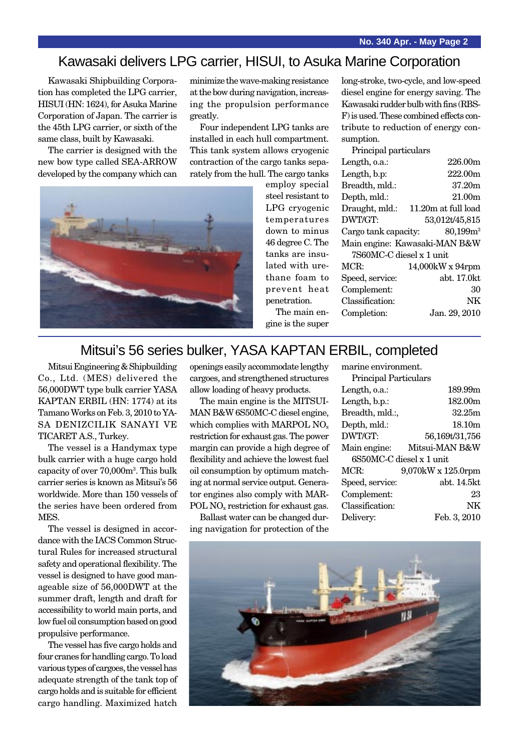## Kawasaki delivers LPG carrier, HISUI, to Asuka Marine Corporation

Kawasaki Shipbuilding Corporation has completed the LPG carrier, HISUI (HN: 1624), for Asuka Marine Corporation of Japan. The carrier is the 45th LPG carrier, or sixth of the same class, built by Kawasaki.

The carrier is designed with the new bow type called SEA-ARROW developed by the company which can minimize the wave-making resistance at the bow during navigation, increasing the propulsion performance

Four independent LPG tanks are installed in each hull compartment. This tank system allows cryogenic contraction of the cargo tanks separately from the hull. The cargo tanks

employ special steel resistant to LPG cryogenic temperatures down to minus 46 degree C. The tanks are insulated with urethane foam to prevent heat penetration. The main en-

gine is the super

long-stroke, two-cycle, and low-speed diesel engine for energy saving. The Kawasaki rudder bulb with fins (RBS-F) is used. These combined effects contribute to reduction of energy consumption.

| Principal particulars         |                     |  |  |  |
|-------------------------------|---------------------|--|--|--|
| Length, o.a.:                 | 226.00m             |  |  |  |
| Length, b.p:                  | 222.00m             |  |  |  |
| Breadth, mld.:                | 37.20m              |  |  |  |
| Depth, mld.:                  | 21.00m              |  |  |  |
| Draught, mld.:                | 11.20m at full load |  |  |  |
| DWT/GT:                       | 53,012t/45,815      |  |  |  |
| Cargo tank capacity:          | 80.199 <sup>3</sup> |  |  |  |
| Main engine: Kawasaki-MAN B&W |                     |  |  |  |
| 7S60MC-C diesel x 1 unit      |                     |  |  |  |
| MCR                           | 14,000kW x 94rpm    |  |  |  |
| Speed, service:               | abt. 17.0kt         |  |  |  |
| Complement:                   | 30                  |  |  |  |
| Classification:               | NK                  |  |  |  |
| Completion:                   | Jan. 29, 2010       |  |  |  |
|                               |                     |  |  |  |

### Mitsui's 56 series bulker, YASA KAPTAN ERBIL, completed

Mitsui Engineering & Shipbuilding Co., Ltd. (MES) delivered the 56,000DWT type bulk carrier YASA KAPTAN ERBIL (HN: 1774) at its Tamano Works on Feb. 3, 2010 to YA-SA DENIZCILIK SANAYI VE TICARET A.S., Turkey.

The vessel is a Handymax type bulk carrier with a huge cargo hold capacity of over 70,000m3 . This bulk carrier series is known as Mitsui's 56 worldwide. More than 150 vessels of the series have been ordered from MES.

The vessel is designed in accordance with the IACS Common Structural Rules for increased structural safety and operational flexibility. The vessel is designed to have good manageable size of 56,000DWT at the summer draft, length and draft for accessibility to world main ports, and low fuel oil consumption based on good propulsive performance.

The vessel has five cargo holds and four cranes for handling cargo. To load various types of cargoes, the vessel has adequate strength of the tank top of cargo holds and is suitable for efficient cargo handling. Maximized hatch

openings easily accommodate lengthy cargoes, and strengthened structures allow loading of heavy products.

The main engine is the MITSUI-MAN B&W 6S50MC-C diesel engine, which complies with MARPOL  $NO<sub>x</sub>$ restriction for exhaust gas. The power margin can provide a high degree of flexibility and achieve the lowest fuel oil consumption by optimum matching at normal service output. Generator engines also comply with MAR-POL NO<sub>x</sub> restriction for exhaust gas.

Ballast water can be changed during navigation for protection of the marine environment. Principal Particulars

| r i mupar i aruumars     |                    |  |  |  |
|--------------------------|--------------------|--|--|--|
| Length, o.a.:            | 189.99m            |  |  |  |
| Length, b.p.:            | 182.00m            |  |  |  |
| Breadth, mld.:,          | 32.25m             |  |  |  |
| Depth, mld.:             | 18.10m             |  |  |  |
| DWT/GT:                  | 56,169t/31,756     |  |  |  |
| Main engine:             | Mitsui-MAN B&W     |  |  |  |
| 6S50MC-C diesel x 1 unit |                    |  |  |  |
| MCR:                     | 9,070kW x 125.0rpm |  |  |  |
| Speed, service:          | abt. 14.5kt        |  |  |  |
| Complement:              | 23                 |  |  |  |
| Classification:          | NK                 |  |  |  |
|                          |                    |  |  |  |
| Delivery:                | Feb. 3, 2010       |  |  |  |





greatly.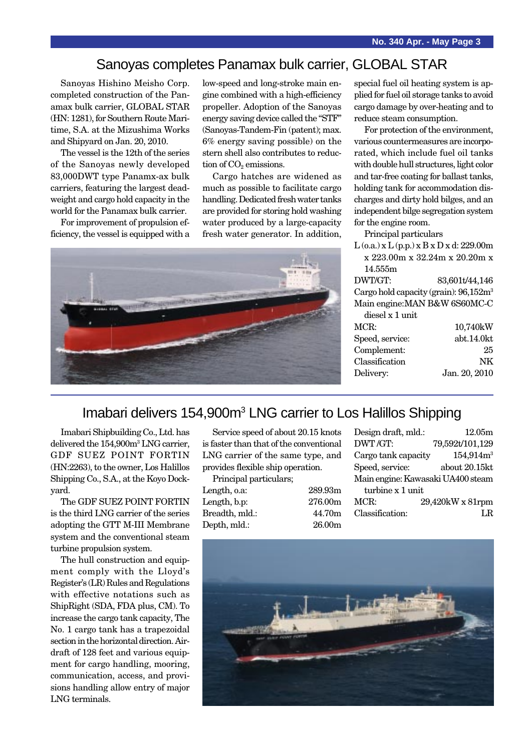#### Sanoyas completes Panamax bulk carrier, GLOBAL STAR

Sanoyas Hishino Meisho Corp. completed construction of the Panamax bulk carrier, GLOBAL STAR (HN: 1281), for Southern Route Maritime, S.A. at the Mizushima Works and Shipyard on Jan. 20, 2010.

The vessel is the 12th of the series of the Sanoyas newly developed 83,000DWT type Panamx-ax bulk carriers, featuring the largest deadweight and cargo hold capacity in the world for the Panamax bulk carrier.

For improvement of propulsion efficiency, the vessel is equipped with a low-speed and long-stroke main engine combined with a high-efficiency propeller. Adoption of the Sanoyas energy saving device called the "STF" (Sanoyas-Tandem-Fin (patent); max. 6% energy saving possible) on the stern shell also contributes to reduction of  $CO<sub>2</sub>$  emissions.

Cargo hatches are widened as much as possible to facilitate cargo handling. Dedicated fresh water tanks are provided for storing hold washing water produced by a large-capacity fresh water generator. In addition,



special fuel oil heating system is applied for fuel oil storage tanks to avoid cargo damage by over-heating and to reduce steam consumption.

For protection of the environment, various countermeasures are incorporated, which include fuel oil tanks with double hull structures, light color and tar-free coating for ballast tanks, holding tank for accommodation discharges and dirty hold bilges, and an independent bilge segregation system for the engine room.

Principal particulars

 $L$  (o.a.) x  $L$  (p.p.) x  $B$  x  $D$  x d: 229.00m x 223.00m x 32.24m x 20.20m x 14.555m DWT/GT: 83,601t/44,146 Cargo hold capacity (grain): 96,152m3 Main engine:MAN B&W 6S60MC-C diesel x 1 unit MCR: 10,740kW Speed, service: abt.14.0kt Complement: 25 Classification NK Delivery: Jan. 20, 2010

#### Imabari delivers 154,900m<sup>3</sup> LNG carrier to Los Halillos Shipping

Imabari Shipbuilding Co., Ltd. has delivered the 154,900m<sup>3</sup> LNG carrier, GDF SUEZ POINT FORTIN (HN:2263), to the owner, Los Halillos Shipping Co., S.A., at the Koyo Dockyard.

The GDF SUEZ POINT FORTIN is the third LNG carrier of the series adopting the GTT M-III Membrane system and the conventional steam turbine propulsion system.

The hull construction and equipment comply with the Lloyd's Register's (LR) Rules and Regulations with effective notations such as ShipRight (SDA, FDA plus, CM). To increase the cargo tank capacity, The No. 1 cargo tank has a trapezoidal section in the horizontal direction. Airdraft of 128 feet and various equipment for cargo handling, mooring, communication, access, and provisions handling allow entry of major LNG terminals.

Service speed of about 20.15 knots is faster than that of the conventional LNG carrier of the same type, and provides flexible ship operation.

Principal particulars; Length, o.a: 289.93m Length, b.p: 276.00m

Breadth, mld.: 44.70m Depth, mld.: 26.00m

| Design draft, mld.:               | 12.05m                |  |  |
|-----------------------------------|-----------------------|--|--|
| DWT/GT:                           | 79,592t/101,129       |  |  |
| Cargo tank capacity               | 154,914m <sup>3</sup> |  |  |
| Speed, service:                   | about 20.15kt         |  |  |
| Main engine: Kawasaki UA400 steam |                       |  |  |
| turbine x 1 unit                  |                       |  |  |
| MCR:                              | 29,420kW x 81rpm      |  |  |
| Classification:                   | LR.                   |  |  |
|                                   |                       |  |  |

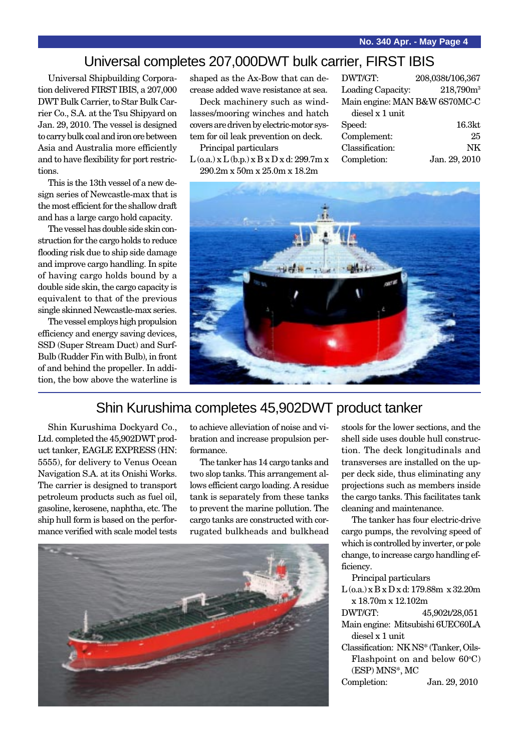### Universal completes 207,000DWT bulk carrier, FIRST IBIS

Universal Shipbuilding Corporation delivered FIRST IBIS, a 207,000 DWT Bulk Carrier, to Star Bulk Carrier Co., S.A. at the Tsu Shipyard on Jan. 29, 2010. The vessel is designed to carry bulk coal and iron ore between Asia and Australia more efficiently and to have flexibility for port restrictions.

This is the 13th vessel of a new design series of Newcastle-max that is the most efficient for the shallow draft and has a large cargo hold capacity.

The vessel has double side skin construction for the cargo holds to reduce flooding risk due to ship side damage and improve cargo handling. In spite of having cargo holds bound by a double side skin, the cargo capacity is equivalent to that of the previous single skinned Newcastle-max series.

The vessel employs high propulsion efficiency and energy saving devices, SSD (Super Stream Duct) and Surf-Bulb (Rudder Fin with Bulb), in front of and behind the propeller. In addition, the bow above the waterline is shaped as the Ax-Bow that can decrease added wave resistance at sea.

Deck machinery such as windlasses/mooring winches and hatch covers are driven by electric-motor system for oil leak prevention on deck.

Principal particulars

 $L$  (o.a.)  $x L$  (b.p.)  $x B x D x d$ : 299.7m  $x$ 290.2m x 50m x 25.0m x 18.2m

| DWT/GT:                       | 208,038t/106,367      |
|-------------------------------|-----------------------|
| Loading Capacity:             | 218,790m <sup>3</sup> |
| Main engine: MAN B&W 6S70MC-C |                       |
| diesel x 1 unit               |                       |
| Speed:                        | 16.3 <sub>kt</sub>    |
| Complement:                   | 25                    |
| Classification:               | NK                    |
| Completion:                   | Jan. 29, 2010         |
|                               |                       |



#### Shin Kurushima completes 45,902DWT product tanker

Shin Kurushima Dockyard Co., Ltd. completed the 45,902DWT product tanker, EAGLE EXPRESS (HN: 5555), for delivery to Venus Ocean Navigation S.A. at its Onishi Works. The carrier is designed to transport petroleum products such as fuel oil, gasoline, kerosene, naphtha, etc. The ship hull form is based on the performance verified with scale model tests

to achieve alleviation of noise and vibration and increase propulsion performance.

The tanker has 14 cargo tanks and two slop tanks. This arrangement allows efficient cargo loading. A residue tank is separately from these tanks to prevent the marine pollution. The cargo tanks are constructed with corrugated bulkheads and bulkhead



stools for the lower sections, and the shell side uses double hull construction. The deck longitudinals and transverses are installed on the upper deck side, thus eliminating any projections such as members inside the cargo tanks. This facilitates tank cleaning and maintenance.

The tanker has four electric-drive cargo pumps, the revolving speed of which is controlled by inverter, or pole change, to increase cargo handling efficiency.

Principal particulars

L (o.a.) x B x D x d: 179.88m x 32.20m x 18.70m x 12.102m

DWT/GT: 45,902t/28,051 Main engine: Mitsubishi 6UEC60LA diesel x 1 unit

Classification: NK NS\* (Tanker, Oils-Flashpoint on and below 60°C) (ESP) MNS\*, MC Completion: Jan. 29, 2010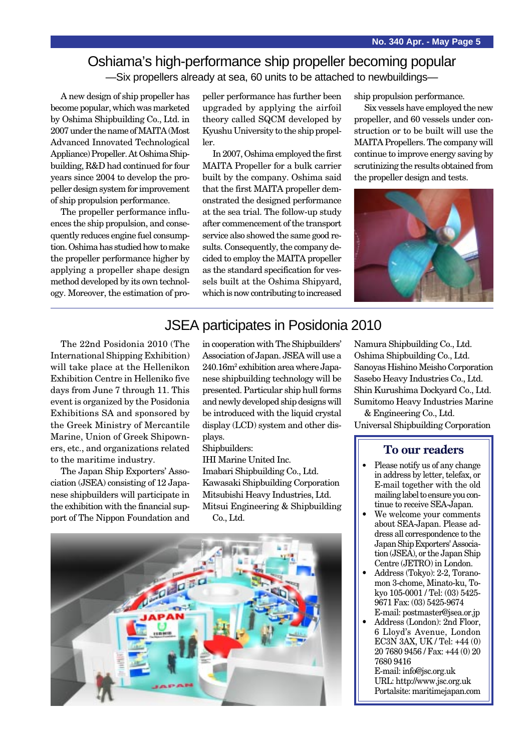### Oshiama's high-performance ship propeller becoming popular —Six propellers already at sea, 60 units to be attached to newbuildings—

A new design of ship propeller has become popular, which was marketed by Oshima Shipbuilding Co., Ltd. in 2007 under the name of MAITA (Most Advanced Innovated Technological Appliance) Propeller. At Oshima Shipbuilding, R&D had continued for four years since 2004 to develop the propeller design system for improvement of ship propulsion performance.

The propeller performance influences the ship propulsion, and consequently reduces engine fuel consumption. Oshima has studied how to make the propeller performance higher by applying a propeller shape design method developed by its own technology. Moreover, the estimation of propeller performance has further been upgraded by applying the airfoil theory called SQCM developed by Kyushu University to the ship propeller.

In 2007, Oshima employed the first MAITA Propeller for a bulk carrier built by the company. Oshima said that the first MAITA propeller demonstrated the designed performance at the sea trial. The follow-up study after commencement of the transport service also showed the same good results. Consequently, the company decided to employ the MAITA propeller as the standard specification for vessels built at the Oshima Shipyard, which is now contributing to increased ship propulsion performance.

Six vessels have employed the new propeller, and 60 vessels under construction or to be built will use the MAITA Propellers. The company will continue to improve energy saving by scrutinizing the results obtained from the propeller design and tests.



#### JSEA participates in Posidonia 2010

The 22nd Posidonia 2010 (The International Shipping Exhibition) will take place at the Hellenikon Exhibition Centre in Helleniko five days from June 7 through 11. This event is organized by the Posidonia Exhibitions SA and sponsored by the Greek Ministry of Mercantile Marine, Union of Greek Shipowners, etc., and organizations related to the maritime industry.

The Japan Ship Exporters' Association (JSEA) consisting of 12 Japanese shipbuilders will participate in the exhibition with the financial support of The Nippon Foundation and in cooperation with The Shipbuilders' Association of Japan. JSEA will use a 240.16m<sup>2</sup> exhibition area where Japanese shipbuilding technology will be presented. Particular ship hull forms and newly developed ship designs will be introduced with the liquid crystal display (LCD) system and other displays.

Shipbuilders:

IHI Marine United Inc. Imabari Shipbuilding Co., Ltd. Kawasaki Shipbuilding Corporation Mitsubishi Heavy Industries, Ltd. Mitsui Engineering & Shipbuilding Co., Ltd.



Namura Shipbuilding Co., Ltd. Oshima Shipbuilding Co., Ltd. Sanoyas Hishino Meisho Corporation Sasebo Heavy Industries Co., Ltd. Shin Kurushima Dockyard Co., Ltd. Sumitomo Heavy Industries Marine

& Engineering Co., Ltd. Universal Shipbuilding Corporation

#### **To our readers**

- Please notify us of any change in address by letter, telefax, or E-mail together with the old mailing label to ensure you continue to receive SEA-Japan.
- We welcome your comments about SEA-Japan. Please address all correspondence to the Japan Ship Exporters' Association (JSEA), or the Japan Ship Centre (JETRO) in London.
- Address (Tokyo): 2-2, Toranomon 3-chome, Minato-ku, Tokyo 105-0001 / Tel: (03) 5425- 9671 Fax: (03) 5425-9674 E-mail: postmaster@jsea.or.jp
- Address (London): 2nd Floor, 6 Lloyd's Avenue, London EC3N 3AX, UK / Tel: +44 (0) 20 7680 9456 / Fax: +44 (0) 20 7680 9416 E-mail: info@jsc.org.uk URL: http://www.jsc.org.uk

Portalsite: maritimejapan.com